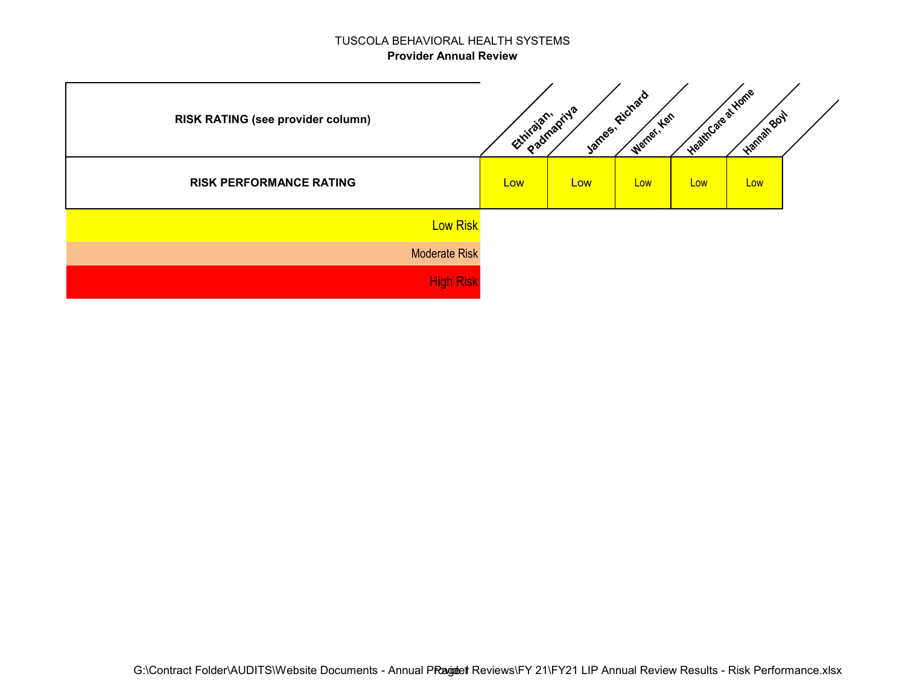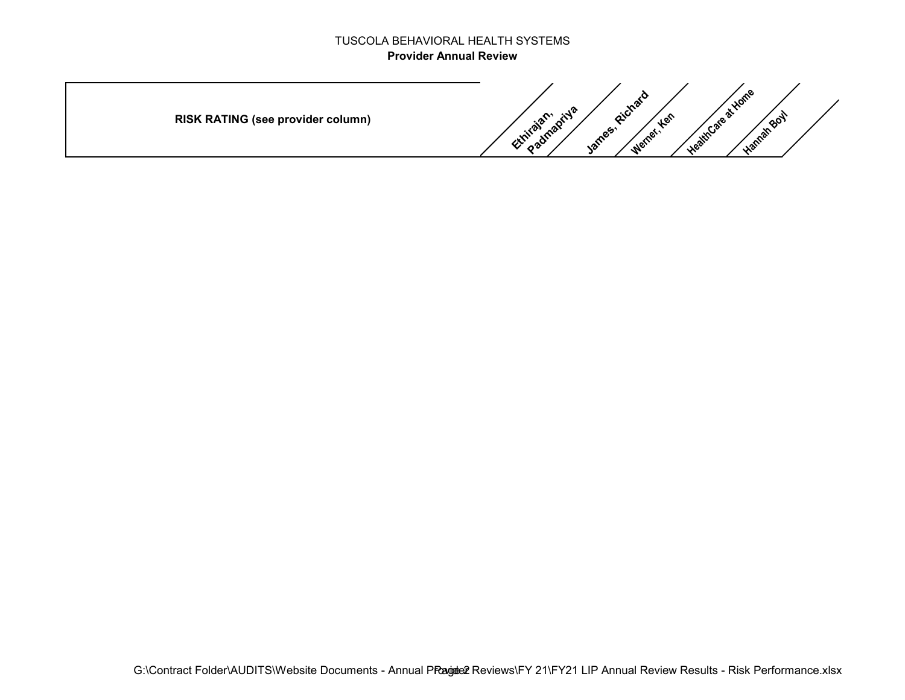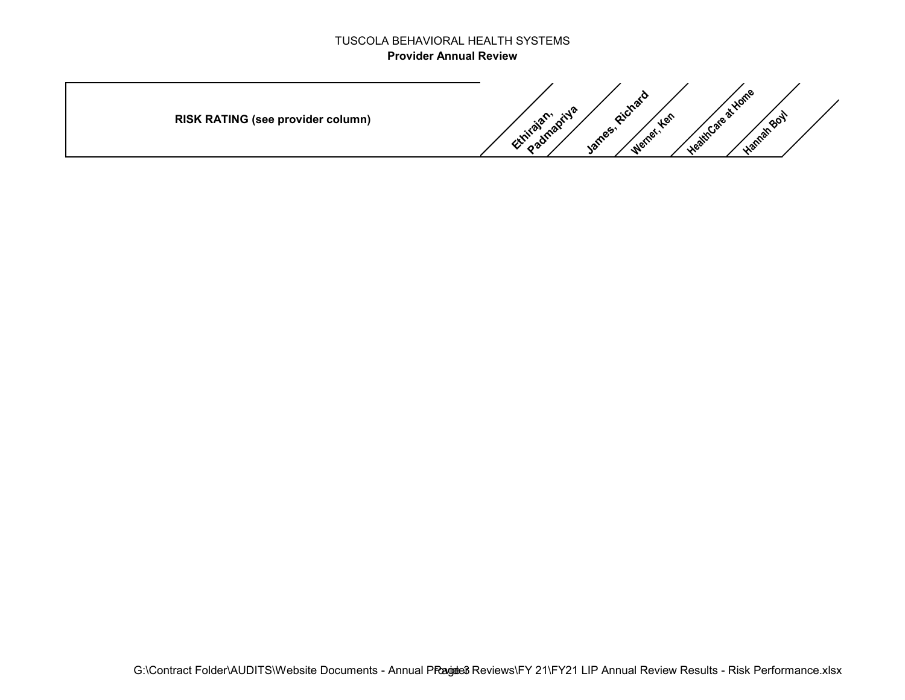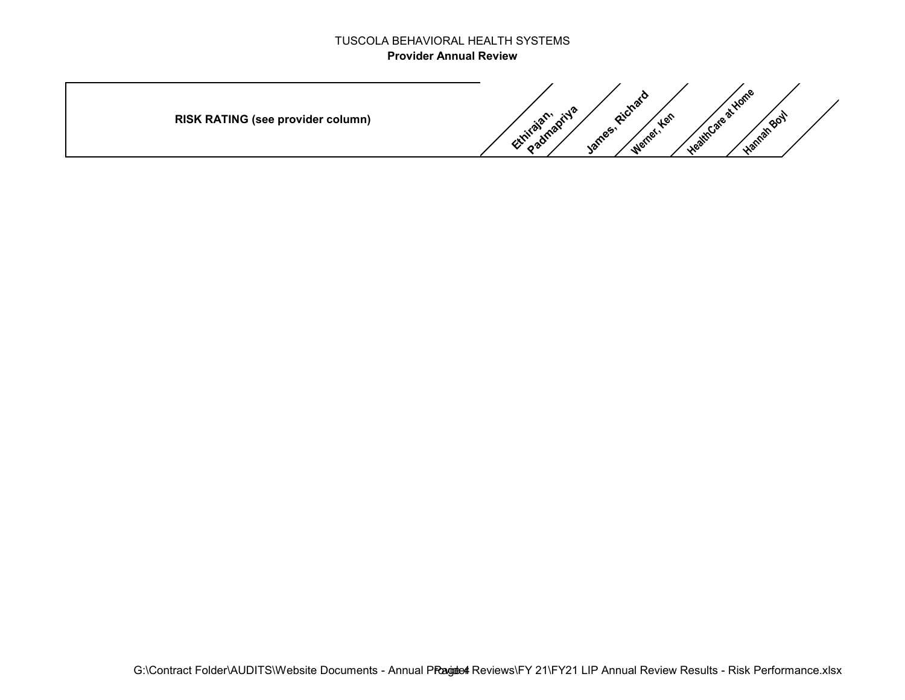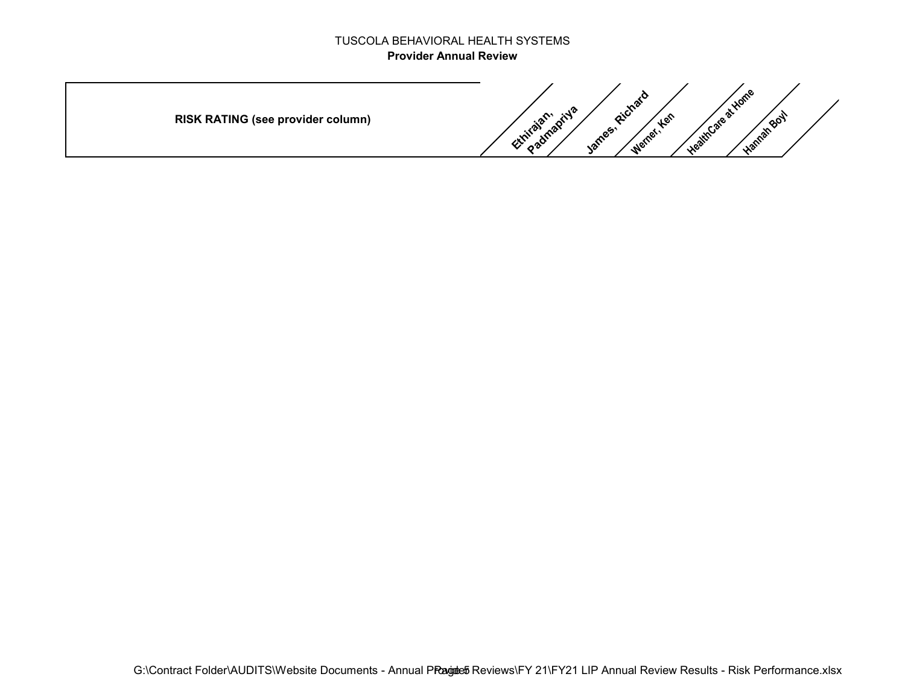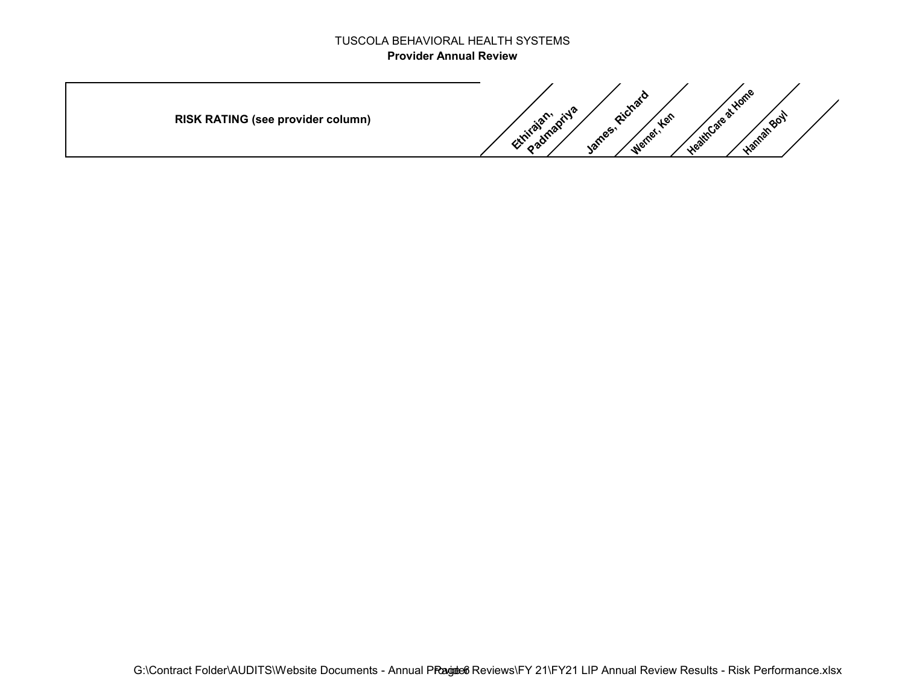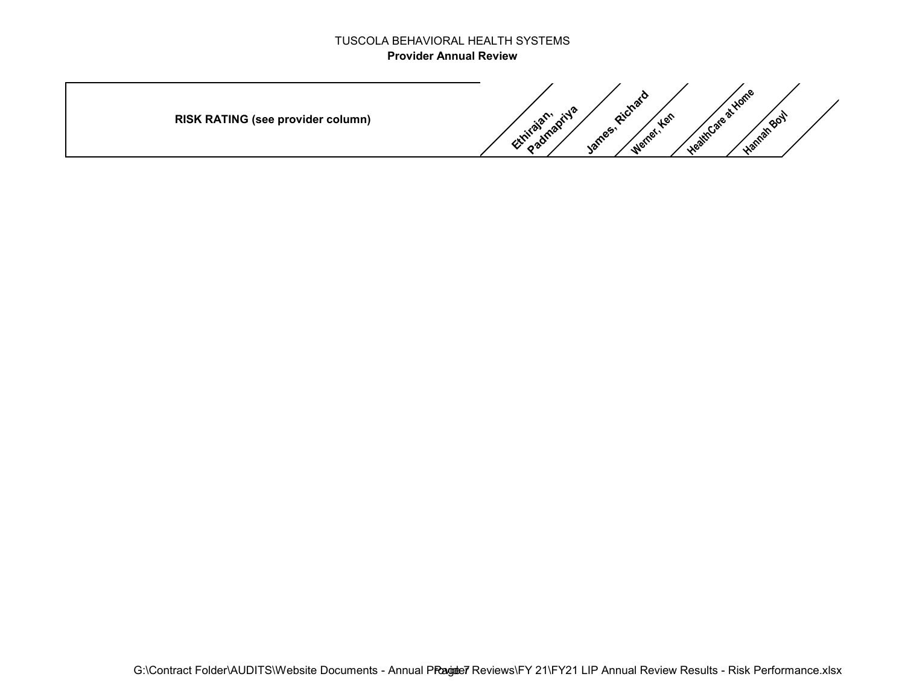